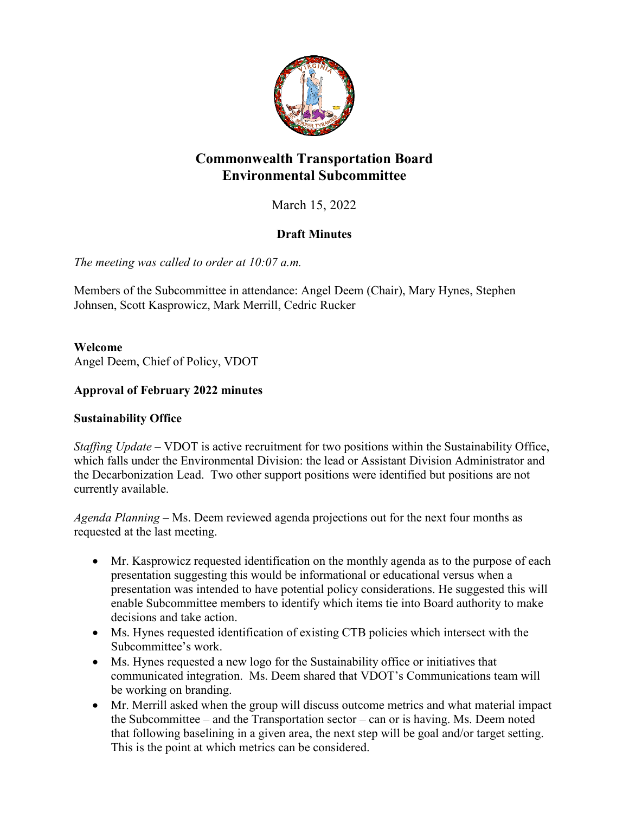

# **Commonwealth Transportation Board Environmental Subcommittee**

March 15, 2022

# **Draft Minutes**

*The meeting was called to order at 10:07 a.m.*

Members of the Subcommittee in attendance: Angel Deem (Chair), Mary Hynes, Stephen Johnsen, Scott Kasprowicz, Mark Merrill, Cedric Rucker

**Welcome** 

Angel Deem, Chief of Policy, VDOT

## **Approval of February 2022 minutes**

## **Sustainability Office**

*Staffing Update* – VDOT is active recruitment for two positions within the Sustainability Office, which falls under the Environmental Division: the lead or Assistant Division Administrator and the Decarbonization Lead. Two other support positions were identified but positions are not currently available.

*Agenda Planning* – Ms. Deem reviewed agenda projections out for the next four months as requested at the last meeting.

- Mr. Kasprowicz requested identification on the monthly agenda as to the purpose of each presentation suggesting this would be informational or educational versus when a presentation was intended to have potential policy considerations. He suggested this will enable Subcommittee members to identify which items tie into Board authority to make decisions and take action.
- Ms. Hynes requested identification of existing CTB policies which intersect with the Subcommittee's work.
- Ms. Hynes requested a new logo for the Sustainability office or initiatives that communicated integration. Ms. Deem shared that VDOT's Communications team will be working on branding.
- Mr. Merrill asked when the group will discuss outcome metrics and what material impact the Subcommittee – and the Transportation sector – can or is having. Ms. Deem noted that following baselining in a given area, the next step will be goal and/or target setting. This is the point at which metrics can be considered.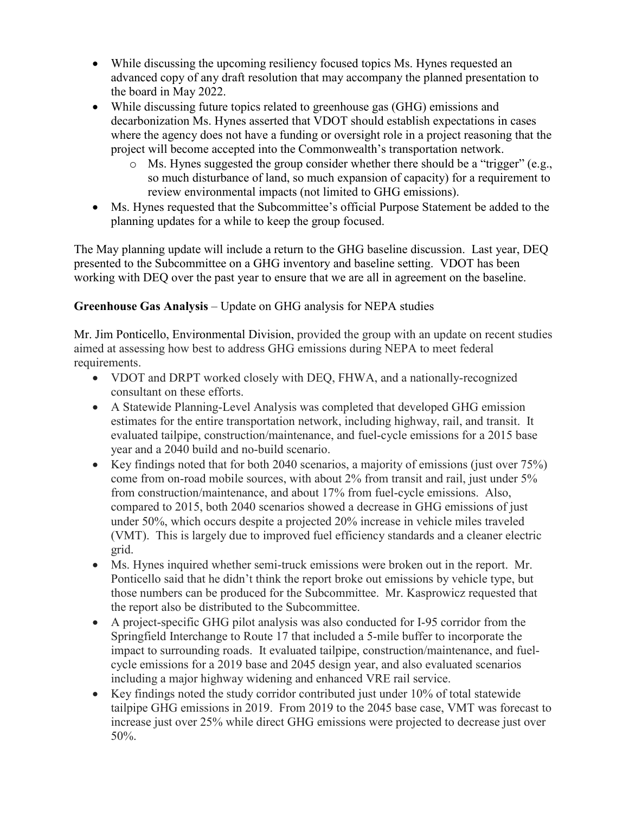- While discussing the upcoming resiliency focused topics Ms. Hynes requested an advanced copy of any draft resolution that may accompany the planned presentation to the board in May 2022.
- While discussing future topics related to greenhouse gas (GHG) emissions and decarbonization Ms. Hynes asserted that VDOT should establish expectations in cases where the agency does not have a funding or oversight role in a project reasoning that the project will become accepted into the Commonwealth's transportation network.
	- o Ms. Hynes suggested the group consider whether there should be a "trigger" (e.g., so much disturbance of land, so much expansion of capacity) for a requirement to review environmental impacts (not limited to GHG emissions).
- Ms. Hynes requested that the Subcommittee's official Purpose Statement be added to the planning updates for a while to keep the group focused.

The May planning update will include a return to the GHG baseline discussion. Last year, DEQ presented to the Subcommittee on a GHG inventory and baseline setting. VDOT has been working with DEQ over the past year to ensure that we are all in agreement on the baseline.

## **Greenhouse Gas Analysis** – Update on GHG analysis for NEPA studies

Mr. Jim Ponticello, Environmental Division, provided the group with an update on recent studies aimed at assessing how best to address GHG emissions during NEPA to meet federal requirements.

- VDOT and DRPT worked closely with DEQ, FHWA, and a nationally-recognized consultant on these efforts.
- A Statewide Planning-Level Analysis was completed that developed GHG emission estimates for the entire transportation network, including highway, rail, and transit. It evaluated tailpipe, construction/maintenance, and fuel-cycle emissions for a 2015 base year and a 2040 build and no-build scenario.
- Key findings noted that for both 2040 scenarios, a majority of emissions (just over 75%) come from on-road mobile sources, with about 2% from transit and rail, just under 5% from construction/maintenance, and about 17% from fuel-cycle emissions. Also, compared to 2015, both 2040 scenarios showed a decrease in GHG emissions of just under 50%, which occurs despite a projected 20% increase in vehicle miles traveled (VMT). This is largely due to improved fuel efficiency standards and a cleaner electric grid.
- Ms. Hynes inquired whether semi-truck emissions were broken out in the report. Mr. Ponticello said that he didn't think the report broke out emissions by vehicle type, but those numbers can be produced for the Subcommittee. Mr. Kasprowicz requested that the report also be distributed to the Subcommittee.
- A project-specific GHG pilot analysis was also conducted for I-95 corridor from the Springfield Interchange to Route 17 that included a 5-mile buffer to incorporate the impact to surrounding roads. It evaluated tailpipe, construction/maintenance, and fuelcycle emissions for a 2019 base and 2045 design year, and also evaluated scenarios including a major highway widening and enhanced VRE rail service.
- Key findings noted the study corridor contributed just under 10% of total statewide tailpipe GHG emissions in 2019. From 2019 to the 2045 base case, VMT was forecast to increase just over 25% while direct GHG emissions were projected to decrease just over 50%.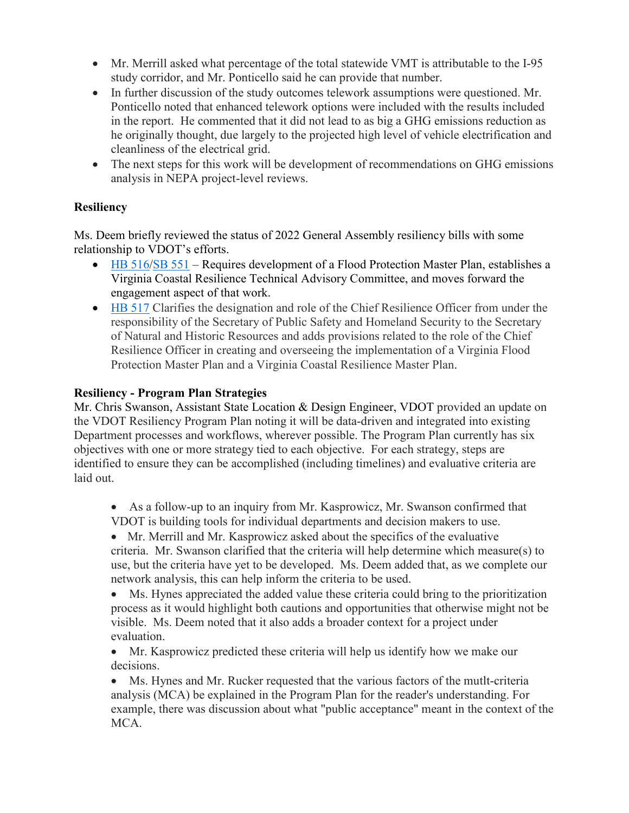- Mr. Merrill asked what percentage of the total statewide VMT is attributable to the I-95 study corridor, and Mr. Ponticello said he can provide that number.
- In further discussion of the study outcomes telework assumptions were questioned. Mr. Ponticello noted that enhanced telework options were included with the results included in the report. He commented that it did not lead to as big a GHG emissions reduction as he originally thought, due largely to the projected high level of vehicle electrification and cleanliness of the electrical grid.
- The next steps for this work will be development of recommendations on GHG emissions analysis in NEPA project-level reviews.

#### **Resiliency**

Ms. Deem briefly reviewed the status of 2022 General Assembly resiliency bills with some relationship to VDOT's efforts.

- HB  $516/SB$   $551$  Requires development of a Flood Protection Master Plan, establishes a Virginia Coastal Resilience Technical Advisory Committee, and moves forward the engagement aspect of that work.
- [HB 517](https://lis.virginia.gov/cgi-bin/legp604.exe?ses=221&typ=bil&val=hb517) Clarifies the designation and role of the Chief Resilience Officer from under the responsibility of the Secretary of Public Safety and Homeland Security to the Secretary of Natural and Historic Resources and adds provisions related to the role of the Chief Resilience Officer in creating and overseeing the implementation of a Virginia Flood Protection Master Plan and a Virginia Coastal Resilience Master Plan.

#### **Resiliency - Program Plan Strategies**

Mr. Chris Swanson, Assistant State Location & Design Engineer, VDOT provided an update on the VDOT Resiliency Program Plan noting it will be data-driven and integrated into existing Department processes and workflows, wherever possible. The Program Plan currently has six objectives with one or more strategy tied to each objective. For each strategy, steps are identified to ensure they can be accomplished (including timelines) and evaluative criteria are laid out.

• As a follow-up to an inquiry from Mr. Kasprowicz, Mr. Swanson confirmed that VDOT is building tools for individual departments and decision makers to use.

• Mr. Merrill and Mr. Kasprowicz asked about the specifics of the evaluative criteria. Mr. Swanson clarified that the criteria will help determine which measure(s) to use, but the criteria have yet to be developed. Ms. Deem added that, as we complete our network analysis, this can help inform the criteria to be used.

• Ms. Hynes appreciated the added value these criteria could bring to the prioritization process as it would highlight both cautions and opportunities that otherwise might not be visible. Ms. Deem noted that it also adds a broader context for a project under evaluation.

• Mr. Kasprowicz predicted these criteria will help us identify how we make our decisions.

• Ms. Hynes and Mr. Rucker requested that the various factors of the mutlt-criteria analysis (MCA) be explained in the Program Plan for the reader's understanding. For example, there was discussion about what "public acceptance" meant in the context of the MCA.